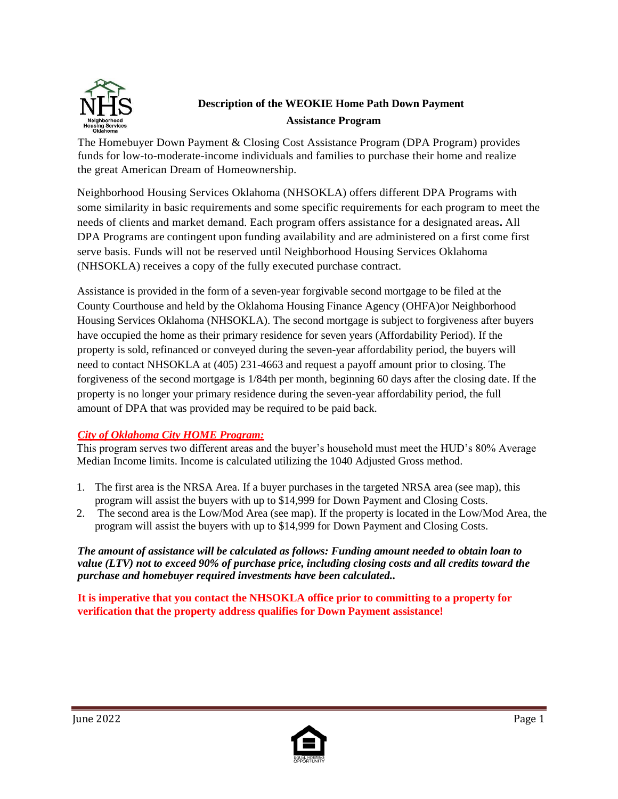

# **Description of the WEOKIE Home Path Down Payment Assistance Program**

The Homebuyer Down Payment & Closing Cost Assistance Program (DPA Program) provides funds for low-to-moderate-income individuals and families to purchase their home and realize the great American Dream of Homeownership.

Neighborhood Housing Services Oklahoma (NHSOKLA) offers different DPA Programs with some similarity in basic requirements and some specific requirements for each program to meet the needs of clients and market demand. Each program offers assistance for a designated areas**.** All DPA Programs are contingent upon funding availability and are administered on a first come first serve basis. Funds will not be reserved until Neighborhood Housing Services Oklahoma (NHSOKLA) receives a copy of the fully executed purchase contract.

Assistance is provided in the form of a seven-year forgivable second mortgage to be filed at the County Courthouse and held by the Oklahoma Housing Finance Agency (OHFA)or Neighborhood Housing Services Oklahoma (NHSOKLA). The second mortgage is subject to forgiveness after buyers have occupied the home as their primary residence for seven years (Affordability Period). If the property is sold, refinanced or conveyed during the seven-year affordability period, the buyers will need to contact NHSOKLA at (405) 231-4663 and request a payoff amount prior to closing. The forgiveness of the second mortgage is 1/84th per month, beginning 60 days after the closing date. If the property is no longer your primary residence during the seven-year affordability period, the full amount of DPA that was provided may be required to be paid back.

## *City of Oklahoma City HOME Program:*

This program serves two different areas and the buyer's household must meet the HUD's 80% Average Median Income limits. Income is calculated utilizing the 1040 Adjusted Gross method.

- 1. The first area is the NRSA Area. If a buyer purchases in the targeted NRSA area (see map), this program will assist the buyers with up to \$14,999 for Down Payment and Closing Costs.
- 2. The second area is the Low/Mod Area (see map). If the property is located in the Low/Mod Area, the program will assist the buyers with up to \$14,999 for Down Payment and Closing Costs.

*The amount of assistance will be calculated as follows: Funding amount needed to obtain loan to value (LTV) not to exceed 90% of purchase price, including closing costs and all credits toward the purchase and homebuyer required investments have been calculated..*

**It is imperative that you contact the NHSOKLA office prior to committing to a property for verification that the property address qualifies for Down Payment assistance!**

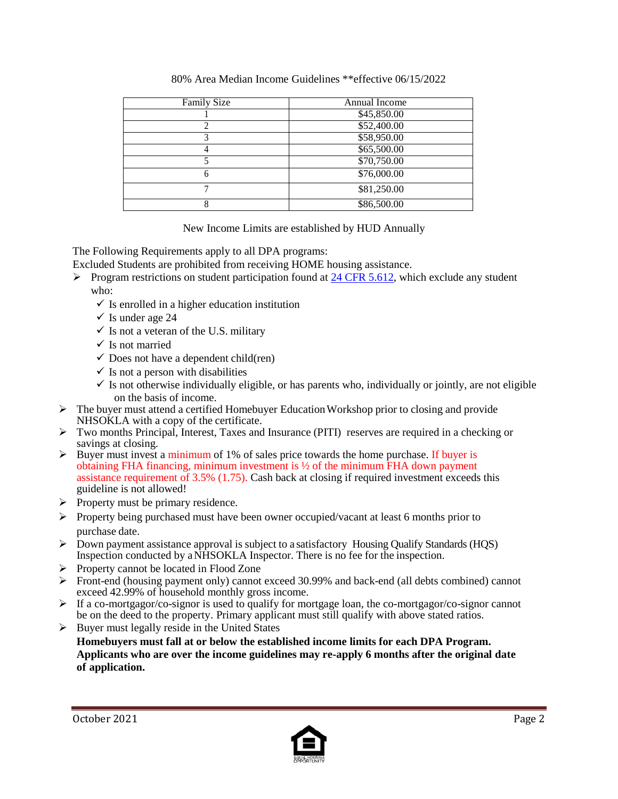| <b>Family Size</b> | Annual Income |
|--------------------|---------------|
|                    | \$45,850.00   |
|                    | \$52,400.00   |
|                    | \$58,950.00   |
|                    | \$65,500.00   |
|                    | \$70,750.00   |
|                    | \$76,000.00   |
|                    | \$81,250.00   |
|                    | \$86,500.00   |

#### 80% Area Median Income Guidelines \*\*effective 06/15/2022

#### New Income Limits are established by HUD Annually

The Following Requirements apply to all DPA programs:

- Excluded Students are prohibited from receiving HOME housing assistance.
- Program restrictions on student participation found at [24 CFR 5.612, w](http://www.hud.gov/offices/hsg/mfh/rhiip/studenteligibilityreqfaqs.pdf)hich exclude any student who:
	- $\checkmark$  Is enrolled in a higher education institution
	- $\checkmark$  Is under age 24
	- $\checkmark$  Is not a veteran of the U.S. military
	- $\checkmark$  Is not married
	- $\checkmark$  Does not have a dependent child(ren)
	- $\checkmark$  Is not a person with disabilities
	- $\checkmark$  Is not otherwise individually eligible, or has parents who, individually or jointly, are not eligible on the basis of income.
- $\triangleright$  The buyer must attend a certified Homebuyer Education Workshop prior to closing and provide NHSOKLA with a copy of the certificate.
- Two months Principal, Interest, Taxes and Insurance (PITI) reserves are required in a checking or savings at closing.
- $\triangleright$  Buyer must invest a minimum of 1% of sales price towards the home purchase. If buyer is obtaining FHA financing, minimum investment is ½ of the minimum FHA down payment assistance requirement of 3.5% (1.75). Cash back at closing if required investment exceeds this guideline is not allowed!
- $\triangleright$  Property must be primary residence.
- $\triangleright$  Property being purchased must have been owner occupied/vacant at least 6 months prior to purchase date.
- Down payment assistance approval is subject to a satisfactory Housing Qualify Standards (HQS) Inspection conducted by a NHSOKLA Inspector. There is no fee for the inspection.
- $\triangleright$  Property cannot be located in Flood Zone
- Front-end (housing payment only) cannot exceed 30.99% and back-end (all debts combined) cannot exceed 42.99% of household monthly gross income.
- $\triangleright$  If a co-mortgagor/co-signor is used to qualify for mortgage loan, the co-mortgagor/co-signor cannot be on the deed to the property. Primary applicant must still qualify with above stated ratios.
- $\triangleright$  Buyer must legally reside in the United States

**Homebuyers must fall at or below the established income limits for each DPA Program. Applicants who are over the income guidelines may re-apply 6 months after the original date of application.**

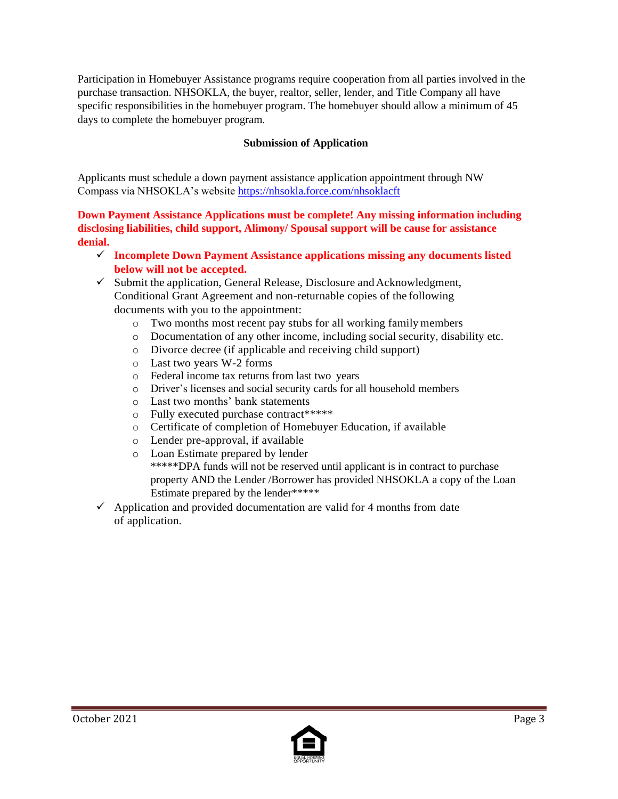Participation in Homebuyer Assistance programs require cooperation from all parties involved in the purchase transaction. NHSOKLA, the buyer, realtor, seller, lender, and Title Company all have specific responsibilities in the homebuyer program. The homebuyer should allow a minimum of 45 days to complete the homebuyer program.

## **Submission of Application**

Applicants must schedule a down payment assistance application appointment through NW Compass via NHSOKLA's website<https://nhsokla.force.com/nhsoklacft>

### **Down Payment Assistance Applications must be complete! Any missing information including disclosing liabilities, child support, Alimony/ Spousal support will be cause for assistance denial.**

- **Incomplete Down Payment Assistance applications missing any documents listed below will not be accepted.**
- $\checkmark$  Submit the application, General Release, Disclosure and Acknowledgment, Conditional Grant Agreement and non-returnable copies of the following documents with you to the appointment:
	- o Two months most recent pay stubs for all working family members
	- o Documentation of any other income, including social security, disability etc.
	- o Divorce decree (if applicable and receiving child support)
	- o Last two years W-2 forms
	- o Federal income tax returns from last two years
	- o Driver's licenses and social security cards for all household members
	- o Last two months' bank statements
	- o Fully executed purchase contract\*\*\*\*\*
	- o Certificate of completion of Homebuyer Education, if available
	- o Lender pre-approval, if available
	- o Loan Estimate prepared by lender \*\*\*\*\*DPA funds will not be reserved until applicant is in contract to purchase property AND the Lender /Borrower has provided NHSOKLA a copy of the Loan Estimate prepared by the lender\*\*\*\*\*
- $\checkmark$  Application and provided documentation are valid for 4 months from date of application.

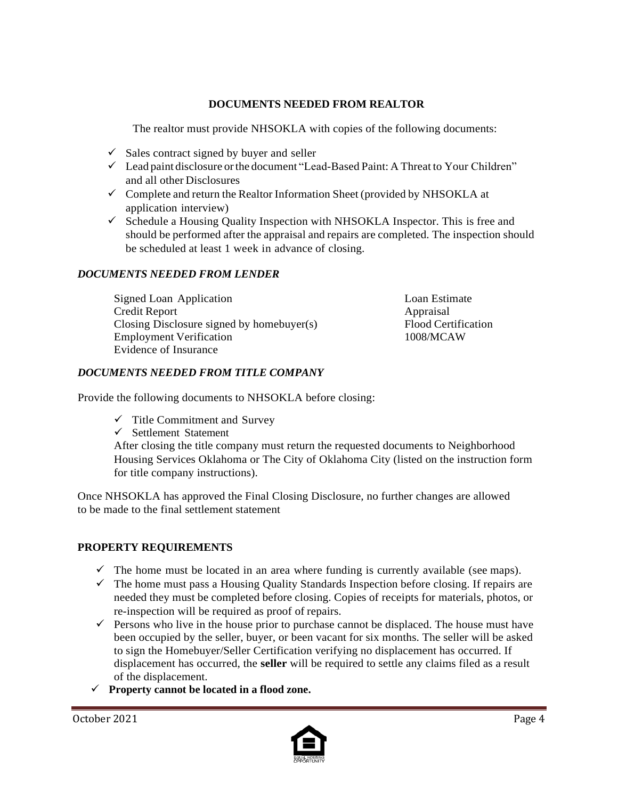## **DOCUMENTS NEEDED FROM REALTOR**

The realtor must provide NHSOKLA with copies of the following documents:

- $\checkmark$  Sales contract signed by buyer and seller
- Lead paint disclosure orthe document "Lead-Based Paint: A Threat to Your Children" and all other Disclosures
- $\checkmark$  Complete and return the Realtor Information Sheet (provided by NHSOKLA at application interview)
- $\checkmark$  Schedule a Housing Quality Inspection with NHSOKLA Inspector. This is free and should be performed after the appraisal and repairs are completed. The inspection should be scheduled at least 1 week in advance of closing.

### *DOCUMENTS NEEDED FROM LENDER*

Signed Loan Application Loan Estimate Credit Report Appraisal Closing Disclosure signed by homebuyer(s) Flood Certification Employment Verification 1008/MCAW Evidence of Insurance

### *DOCUMENTS NEEDED FROM TITLE COMPANY*

Provide the following documents to NHSOKLA before closing:

- $\checkmark$  Title Commitment and Survey
- $\checkmark$  Settlement Statement

After closing the title company must return the requested documents to Neighborhood Housing Services Oklahoma or The City of Oklahoma City (listed on the instruction form for title company instructions).

Once NHSOKLA has approved the Final Closing Disclosure, no further changes are allowed to be made to the final settlement statement

## **PROPERTY REQUIREMENTS**

- $\checkmark$  The home must be located in an area where funding is currently available (see maps).
- $\checkmark$  The home must pass a Housing Quality Standards Inspection before closing. If repairs are needed they must be completed before closing. Copies of receipts for materials, photos, or re-inspection will be required as proof of repairs.
- $\checkmark$  Persons who live in the house prior to purchase cannot be displaced. The house must have been occupied by the seller, buyer, or been vacant for six months. The seller will be asked to sign the Homebuyer/Seller Certification verifying no displacement has occurred. If displacement has occurred, the **seller** will be required to settle any claims filed as a result of the displacement.
- **Property cannot be located in a flood zone.**

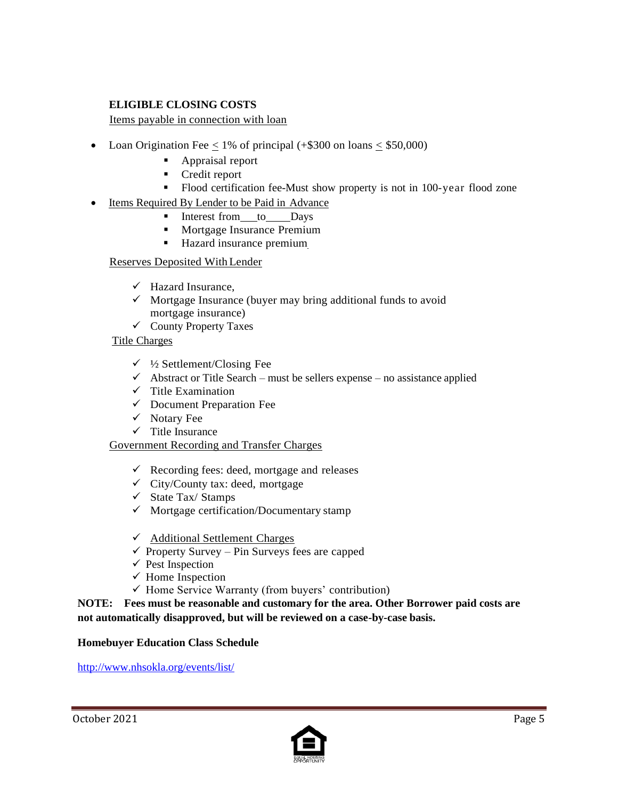## **ELIGIBLE CLOSING COSTS**

Items payable in connection with loan

- Loan Origination Fee  $\leq 1\%$  of principal (+\$300 on loans  $\leq$  \$50,000)
	- Appraisal report
	- **Credit report**
	- Flood certification fee-Must show property is not in 100-year flood zone
- Items Required By Lender to be Paid in Advance
	- Interest from to Days
	- **Mortgage Insurance Premium**
	- Hazard insurance premium

#### Reserves Deposited WithLender

- $\checkmark$  Hazard Insurance,
- $\checkmark$  Mortgage Insurance (buyer may bring additional funds to avoid mortgage insurance)
- $\checkmark$  County Property Taxes

#### Title Charges

- $\checkmark$  1/2 Settlement/Closing Fee
- $\checkmark$  Abstract or Title Search must be sellers expense no assistance applied
- $\checkmark$  Title Examination
- $\checkmark$  Document Preparation Fee
- $\checkmark$  Notary Fee
- $\checkmark$  Title Insurance

#### Government Recording and Transfer Charges

- $\checkmark$  Recording fees: deed, mortgage and releases
- $\checkmark$  City/County tax: deed, mortgage
- $\checkmark$  State Tax/Stamps
- $\checkmark$  Mortgage certification/Documentary stamp
- Additional Settlement Charges
- $\checkmark$  Property Survey Pin Surveys fees are capped
- $\checkmark$  Pest Inspection
- $\checkmark$  Home Inspection
- $\checkmark$  Home Service Warranty (from buyers' contribution)

**NOTE: Fees must be reasonable and customary for the area. Other Borrower paid costs are not automatically disapproved, but will be reviewed on a case-by-case basis.**

#### **Homebuyer Education Class Schedule**

[http://www.nhsokla.org/events/list/](http://www.nhsokc.org/events/list/)

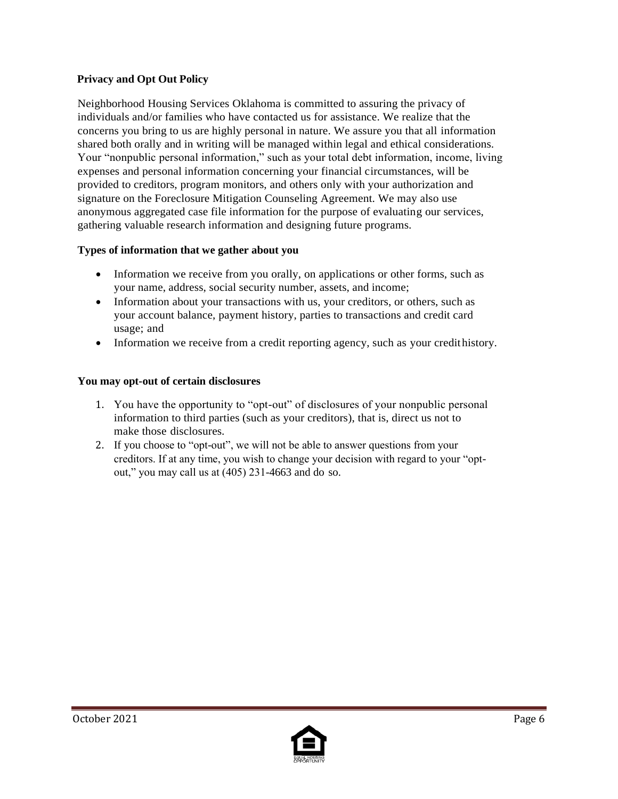## **Privacy and Opt Out Policy**

Neighborhood Housing Services Oklahoma is committed to assuring the privacy of individuals and/or families who have contacted us for assistance. We realize that the concerns you bring to us are highly personal in nature. We assure you that all information shared both orally and in writing will be managed within legal and ethical considerations. Your "nonpublic personal information," such as your total debt information, income, living expenses and personal information concerning your financial circumstances, will be provided to creditors, program monitors, and others only with your authorization and signature on the Foreclosure Mitigation Counseling Agreement. We may also use anonymous aggregated case file information for the purpose of evaluating our services, gathering valuable research information and designing future programs.

## **Types of information that we gather about you**

- Information we receive from you orally, on applications or other forms, such as your name, address, social security number, assets, and income;
- Information about your transactions with us, your creditors, or others, such as your account balance, payment history, parties to transactions and credit card usage; and
- Information we receive from a credit reporting agency, such as your credithistory.

## **You may opt-out of certain disclosures**

- 1. You have the opportunity to "opt-out" of disclosures of your nonpublic personal information to third parties (such as your creditors), that is, direct us not to make those disclosures.
- 2. If you choose to "opt-out", we will not be able to answer questions from your creditors. If at any time, you wish to change your decision with regard to your "optout," you may call us at (405) 231-4663 and do so.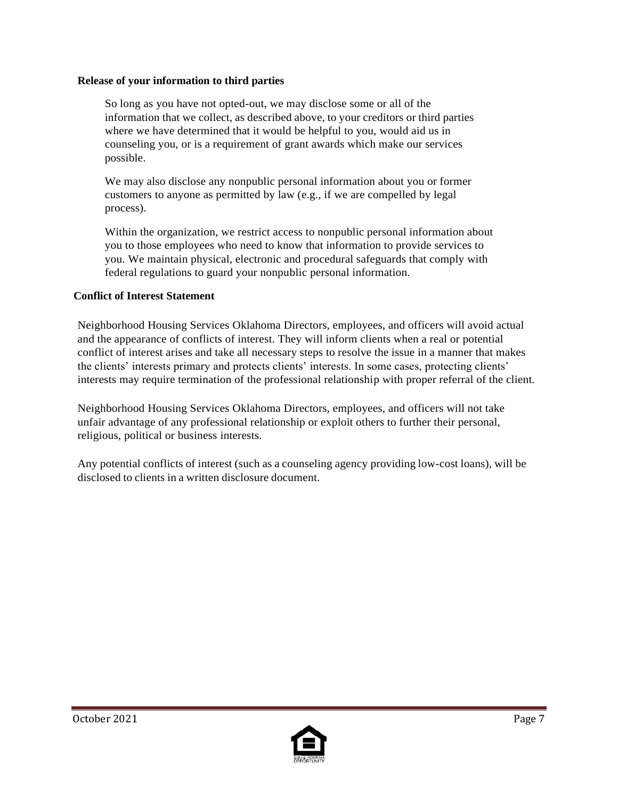### **Release of your information to third parties**

So long as you have not opted-out, we may disclose some or all of the information that we collect, as described above, to your creditors or third parties where we have determined that it would be helpful to you, would aid us in counseling you, or is a requirement of grant awards which make our services possible.

We may also disclose any nonpublic personal information about you or former customers to anyone as permitted by law (e.g., if we are compelled by legal process).

Within the organization, we restrict access to nonpublic personal information about you to those employees who need to know that information to provide services to you. We maintain physical, electronic and procedural safeguards that comply with federal regulations to guard your nonpublic personal information.

## **Conflict of Interest Statement**

Neighborhood Housing Services Oklahoma Directors, employees, and officers will avoid actual and the appearance of conflicts of interest. They will inform clients when a real or potential conflict of interest arises and take all necessary steps to resolve the issue in a manner that makes the clients' interests primary and protects clients' interests. In some cases, protecting clients' interests may require termination of the professional relationship with proper referral of the client.

Neighborhood Housing Services Oklahoma Directors, employees, and officers will not take unfair advantage of any professional relationship or exploit others to further their personal, religious, political or business interests.

Any potential conflicts of interest (such as a counseling agency providing low-cost loans), will be disclosed to clients in a written disclosure document.